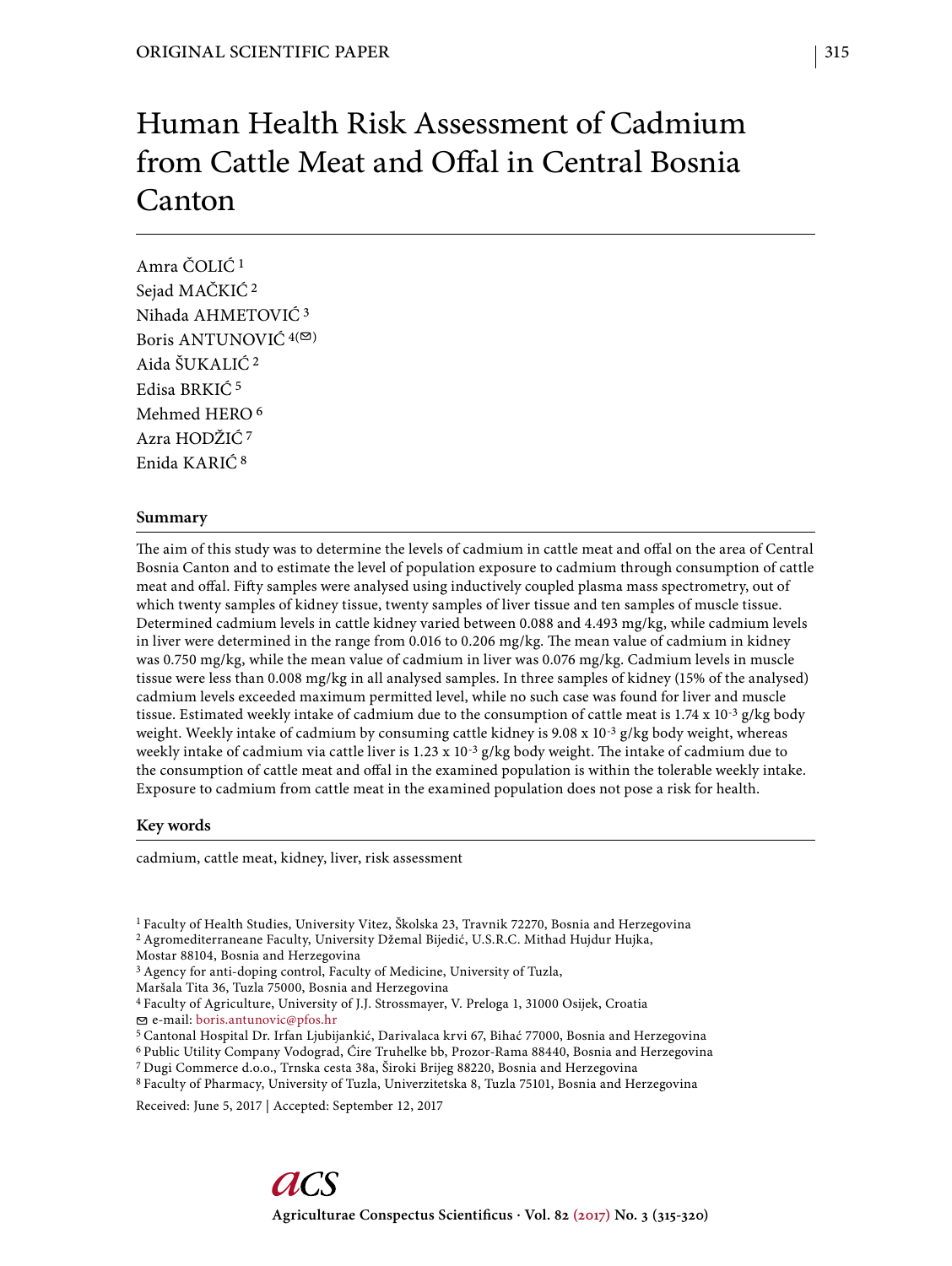# Human Health Risk Assessment of Cadmium from Cattle Meat and Offal in Central Bosnia Canton

Amra ČOLIĆ 1 Sejad MAČKIĆ 2 Nihada AHMETOVIĆ 3 Boris ANTUNOVIĆ  $4^{(\n\infty)}$ Aida ŠUKALIĆ 2 Edisa BRKIĆ 5 Mehmed HERO 6 Azra HODŽIĆ 7 Enida KARIĆ 8

# **Summary**

The aim of this study was to determine the levels of cadmium in cattle meat and offal on the area of Central Bosnia Canton and to estimate the level of population exposure to cadmium through consumption of cattle meat and offal. Fifty samples were analysed using inductively coupled plasma mass spectrometry, out of which twenty samples of kidney tissue, twenty samples of liver tissue and ten samples of muscle tissue. Determined cadmium levels in cattle kidney varied between 0.088 and 4.493 mg/kg, while cadmium levels in liver were determined in the range from 0.016 to 0.206 mg/kg. The mean value of cadmium in kidney was 0.750 mg/kg, while the mean value of cadmium in liver was 0.076 mg/kg. Cadmium levels in muscle tissue were less than 0.008 mg/kg in all analysed samples. In three samples of kidney (15% of the analysed) cadmium levels exceeded maximum permitted level, while no such case was found for liver and muscle tissue. Estimated weekly intake of cadmium due to the consumption of cattle meat is  $1.74 \times 10^{-3}$  g/kg body weight. Weekly intake of cadmium by consuming cattle kidney is  $9.08 \times 10^{-3}$  g/kg body weight, whereas weekly intake of cadmium via cattle liver is 1.23 x 10<sup>-3</sup> g/kg body weight. The intake of cadmium due to the consumption of cattle meat and offal in the examined population is within the tolerable weekly intake. Exposure to cadmium from cattle meat in the examined population does not pose a risk for health.

## **Key words**

cadmium, cattle meat, kidney, liver, risk assessment

1 Faculty of Health Studies, University Vitez, Školska 23, Travnik 72270, Bosnia and Herzegovina

Mostar 88104, Bosnia and Herzegovina

<sup>3</sup> Agency for anti-doping control, Faculty of Medicine, University of Tuzla,

Maršala Tita 36, Tuzla 75000, Bosnia and Herzegovina

4 Faculty of Agriculture, University of J.J. Strossmayer, V. Preloga 1, 31000 Osijek, Croatia e-mail: boris.antunovic@pfos.hr

5 Cantonal Hospital Dr. Irfan Ljubijankić, Darivalaca krvi 67, Bihać 77000, Bosnia and Herzegovina

- 6 Public Utility Company Vodograd, Ćire Truhelke bb, Prozor-Rama 88440, Bosnia and Herzegovina
- 7 Dugi Commerce d.o.o., Trnska cesta 38a, Široki Brijeg 88220, Bosnia and Herzegovina

8 Faculty of Pharmacy, University of Tuzla, Univerzitetska 8, Tuzla 75101, Bosnia and Herzegovina

Received: June 5, 2017 | Accepted: September 12, 2017

<sup>2</sup> Agromediterraneane Faculty, University Džemal Bijedić, U.S.R.C. Mithad Hujdur Hujka,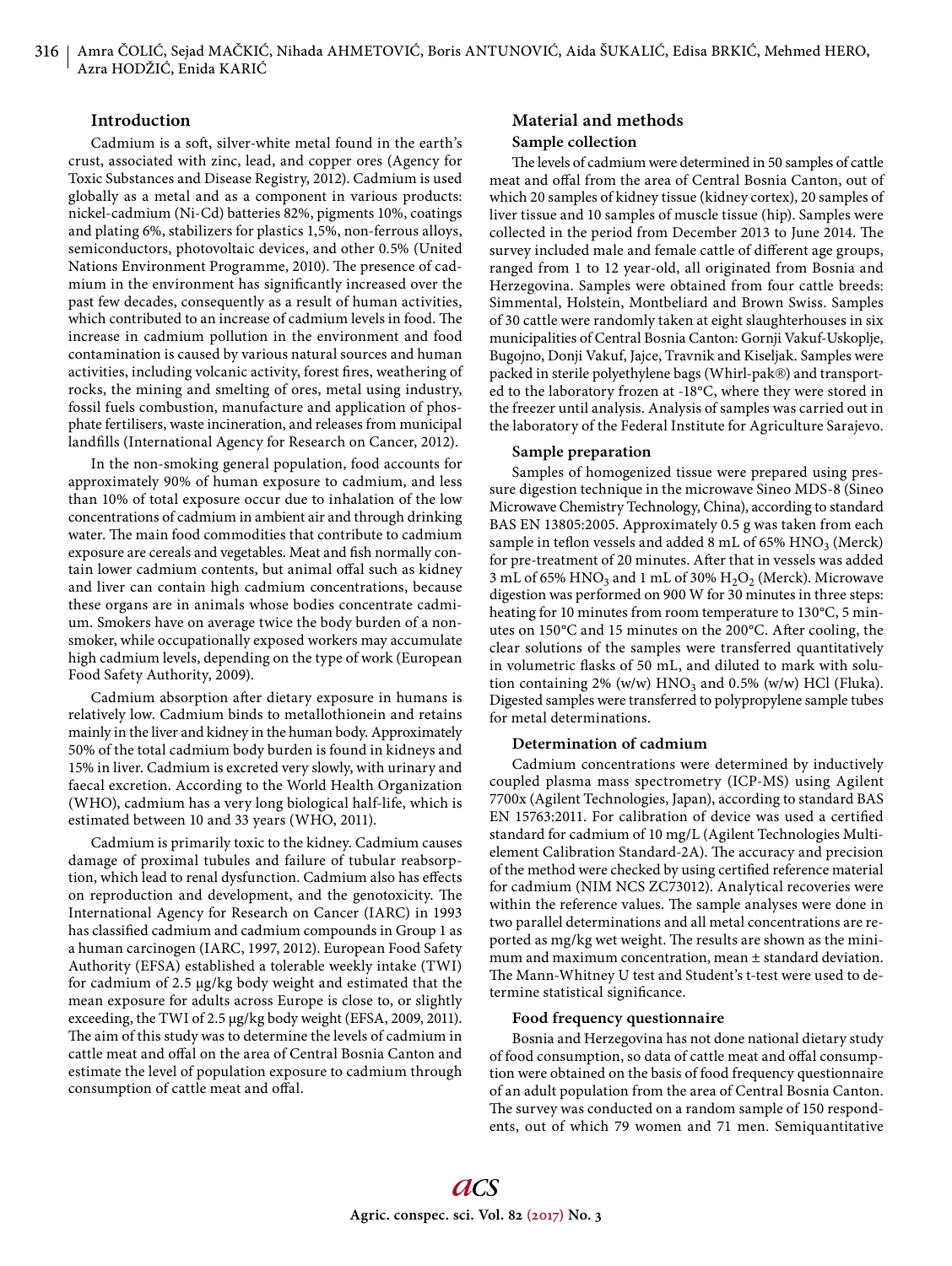# **Introduction**

Cadmium is a soft, silver-white metal found in the earth's crust, associated with zinc, lead, and copper ores (Agency for Toxic Substances and Disease Registry, 2012). Cadmium is used globally as a metal and as a component in various products: nickel-cadmium (Ni-Cd) batteries 82%, pigments 10%, coatings and plating 6%, stabilizers for plastics 1,5%, non-ferrous alloys, semiconductors, photovoltaic devices, and other 0.5% (United Nations Environment Programme, 2010). The presence of cadmium in the environment has significantly increased over the past few decades, consequently as a result of human activities, which contributed to an increase of cadmium levels in food. The increase in cadmium pollution in the environment and food contamination is caused by various natural sources and human activities, including volcanic activity, forest fires, weathering of rocks, the mining and smelting of ores, metal using industry, fossil fuels combustion, manufacture and application of phosphate fertilisers, waste incineration, and releases from municipal landfills (International Agency for Research on Cancer, 2012).

In the non-smoking general population, food accounts for approximately 90% of human exposure to cadmium, and less than 10% of total exposure occur due to inhalation of the low concentrations of cadmium in ambient air and through drinking water. The main food commodities that contribute to cadmium exposure are cereals and vegetables. Meat and fish normally contain lower cadmium contents, but animal offal such as kidney and liver can contain high cadmium concentrations, because these organs are in animals whose bodies concentrate cadmium. Smokers have on average twice the body burden of a nonsmoker, while occupationally exposed workers may accumulate high cadmium levels, depending on the type of work (European Food Safety Authority, 2009).

Cadmium absorption after dietary exposure in humans is relatively low. Cadmium binds to metallothionein and retains mainly in the liver and kidney in the human body. Approximately 50% of the total cadmium body burden is found in kidneys and 15% in liver. Cadmium is excreted very slowly, with urinary and faecal excretion. According to the World Health Organization (WHO), cadmium has a very long biological half-life, which is estimated between 10 and 33 years (WHO, 2011).

Cadmium is primarily toxic to the kidney. Cadmium causes damage of proximal tubules and failure of tubular reabsorption, which lead to renal dysfunction. Cadmium also has effects on reproduction and development, and the genotoxicity. The International Agency for Research on Cancer (IARC) in 1993 has classified cadmium and cadmium compounds in Group 1 as a human carcinogen (IARC, 1997, 2012). European Food Safety Authority (EFSA) established a tolerable weekly intake (TWI) for cadmium of 2.5 μg/kg body weight and estimated that the mean exposure for adults across Europe is close to, or slightly exceeding, the TWI of 2.5 μg/kg body weight (EFSA, 2009, 2011). The aim of this study was to determine the levels of cadmium in cattle meat and offal on the area of Central Bosnia Canton and estimate the level of population exposure to cadmium through consumption of cattle meat and offal.

# **Material and methods Sample collection**

The levels of cadmium were determined in 50 samples of cattle meat and offal from the area of Central Bosnia Canton, out of which 20 samples of kidney tissue (kidney cortex), 20 samples of liver tissue and 10 samples of muscle tissue (hip). Samples were collected in the period from December 2013 to June 2014. The survey included male and female cattle of different age groups, ranged from 1 to 12 year-old, all originated from Bosnia and Herzegovina. Samples were obtained from four cattle breeds: Simmental, Holstein, Montbeliard and Brown Swiss. Samples of 30 cattle were randomly taken at eight slaughterhouses in six municipalities of Central Bosnia Canton: Gornji Vakuf-Uskoplje, Bugojno, Donji Vakuf, Jajce, Travnik and Kiseljak. Samples were packed in sterile polyethylene bags (Whirl-pak®) and transported to the laboratory frozen at -18°C, where they were stored in the freezer until analysis. Analysis of samples was carried out in the laboratory of the Federal Institute for Agriculture Sarajevo.

#### **Sample preparation**

Samples of homogenized tissue were prepared using pressure digestion technique in the microwave Sineo MDS-8 (Sineo Microwave Chemistry Technology, China), according to standard BAS EN 13805:2005. Approximately 0.5 g was taken from each sample in teflon vessels and added 8 mL of 65%  $HNO<sub>3</sub>$  (Merck) for pre-treatment of 20 minutes. After that in vessels was added 3 mL of 65% HNO<sub>3</sub> and 1 mL of 30%  $H_2O_2$  (Merck). Microwave digestion was performed on 900 W for 30 minutes in three steps: heating for 10 minutes from room temperature to 130°C, 5 minutes on 150°C and 15 minutes on the 200°C. After cooling, the clear solutions of the samples were transferred quantitatively in volumetric flasks of 50 mL, and diluted to mark with solution containing  $2\%$  (w/w)  $HNO<sub>3</sub>$  and 0.5% (w/w) HCl (Fluka). Digested samples were transferred to polypropylene sample tubes for metal determinations.

#### **Determination of cadmium**

Cadmium concentrations were determined by inductively coupled plasma mass spectrometry (ICP-MS) using Agilent 7700x (Agilent Technologies, Japan), according to standard BAS EN 15763:2011. For calibration of device was used a certified standard for cadmium of 10 mg/L (Agilent Technologies Multielement Calibration Standard-2A). The accuracy and precision of the method were checked by using certified reference material for cadmium (NIM NCS ZC73012). Analytical recoveries were within the reference values. The sample analyses were done in two parallel determinations and all metal concentrations are reported as mg/kg wet weight. The results are shown as the minimum and maximum concentration, mean ± standard deviation. The Mann-Whitney U test and Student's t-test were used to determine statistical significance.

#### **Food frequency questionnaire**

Bosnia and Herzegovina has not done national dietary study of food consumption, so data of cattle meat and offal consumption were obtained on the basis of food frequency questionnaire of an adult population from the area of Central Bosnia Canton. The survey was conducted on a random sample of 150 respondents, out of which 79 women and 71 men. Semiquantitative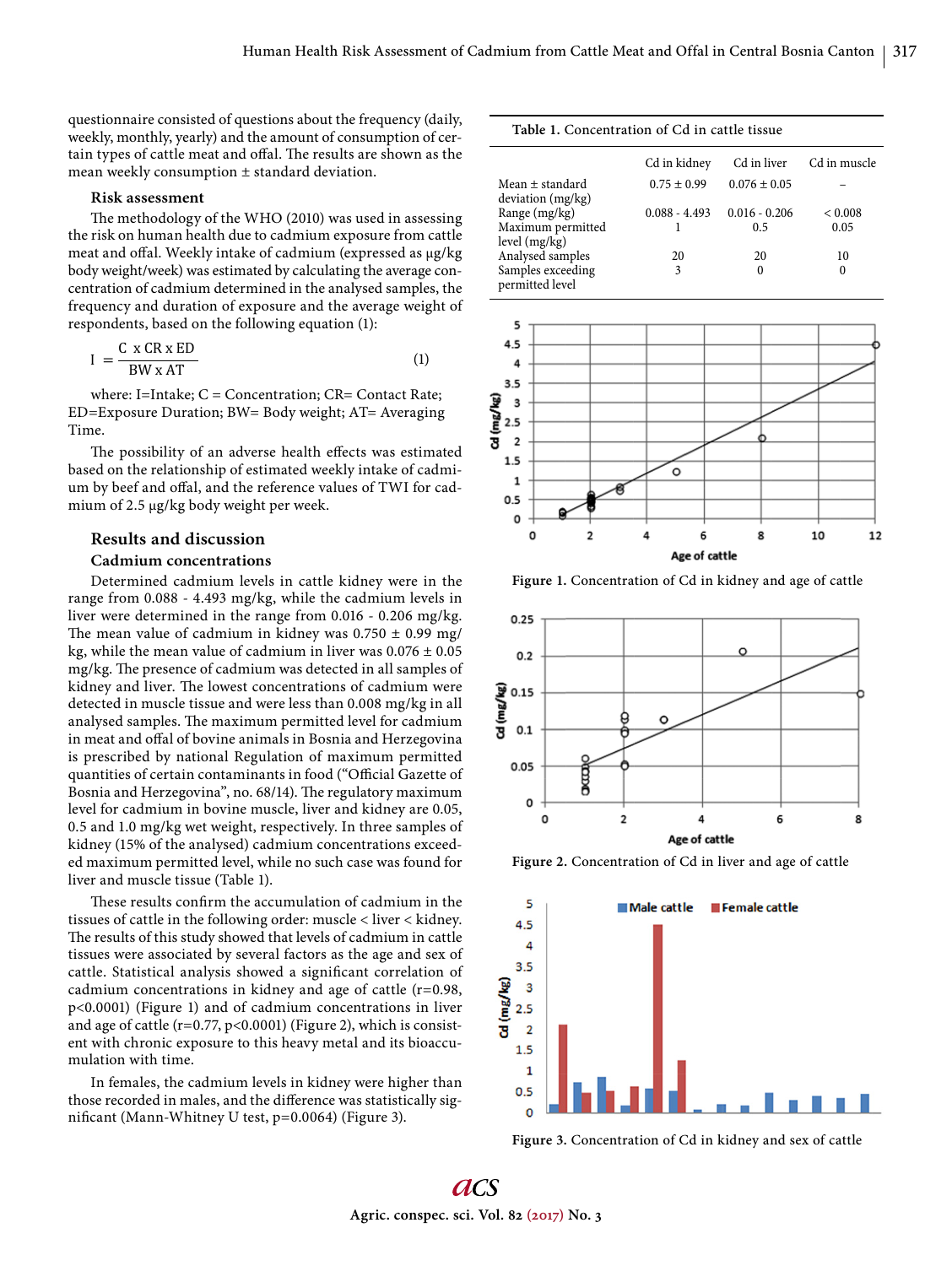questionnaire consisted of questions about the frequency (daily, weekly, monthly, yearly) and the amount of consumption of certain types of cattle meat and offal. The results are shown as the mean weekly consumption ± standard deviation.

#### **Risk assessment**

The methodology of the WHO (2010) was used in assessing the risk on human health due to cadmium exposure from cattle meat and offal. Weekly intake of cadmium (expressed as μg/kg body weight/week) was estimated by calculating the average concentration of cadmium determined in the analysed samples, the frequency and duration of exposure and the average weight of respondents, based on the following equation (1):

$$
I = \frac{C \times CR \times ED}{BW \times AT}
$$
 (1)

where: I=Intake; C = Concentration; CR= Contact Rate; ED=Exposure Duration; BW= Body weight; AT= Averaging Time.

The possibility of an adverse health effects was estimated based on the relationship of estimated weekly intake of cadmium by beef and offal, and the reference values of TWI for cadmium of 2.5 μg/kg body weight per week.

#### **Results and discussion**

## **Cadmium concentrations**

Determined cadmium levels in cattle kidney were in the range from 0.088 - 4.493 mg/kg, while the cadmium levels in liver were determined in the range from 0.016 - 0.206 mg/kg. The mean value of cadmium in kidney was  $0.750 \pm 0.99$  mg/ kg, while the mean value of cadmium in liver was  $0.076 \pm 0.05$ mg/kg. The presence of cadmium was detected in all samples of kidney and liver. The lowest concentrations of cadmium were detected in muscle tissue and were less than 0.008 mg/kg in all analysed samples. The maximum permitted level for cadmium in meat and offal of bovine animals in Bosnia and Herzegovina is prescribed by national Regulation of maximum permitted quantities of certain contaminants in food ("Official Gazette of Bosnia and Herzegovina", no. 68/14). The regulatory maximum level for cadmium in bovine muscle, liver and kidney are 0.05, 0.5 and 1.0 mg/kg wet weight, respectively. In three samples of kidney (15% of the analysed) cadmium concentrations exceeded maximum permitted level, while no such case was found for liver and muscle tissue (Table 1).

These results confirm the accumulation of cadmium in the tissues of cattle in the following order: muscle < liver < kidney. The results of this study showed that levels of cadmium in cattle tissues were associated by several factors as the age and sex of cattle. Statistical analysis showed a significant correlation of cadmium concentrations in kidney and age of cattle (r=0.98, p<0.0001) (Figure 1) and of cadmium concentrations in liver and age of cattle  $(r=0.77, p<0.0001)$  (Figure 2), which is consistent with chronic exposure to this heavy metal and its bioaccumulation with time.

In females, the cadmium levels in kidney were higher than those recorded in males, and the difference was statistically significant (Mann-Whitney U test,  $p=0.0064$ ) (Figure 3).

#### **Table 1.** Concentration of Cd in cattle tissue

|                                      | Cd in kidney    | Cd in liver      | Cd in muscle |
|--------------------------------------|-----------------|------------------|--------------|
| Mean ± standard<br>deviation (mg/kg) | $0.75 \pm 0.99$ | $0.076 \pm 0.05$ |              |
| Range (mg/kg)                        | $0.088 - 4.493$ | $0.016 - 0.206$  | < 0.008      |
| Maximum permitted<br>level (mg/kg)   |                 | 0.5              | 0.05         |
| Analysed samples                     | 20              | 20               | 10           |
| Samples exceeding<br>permitted level | 3               | $\theta$         | 0            |



Figure 1. Concentration of Cd in kidney and age of cattle



**Figure 2.** Concentration of Cd in liver and age of cattle



**Figure 3.** Concentration of Cd in kidney and sex of cattle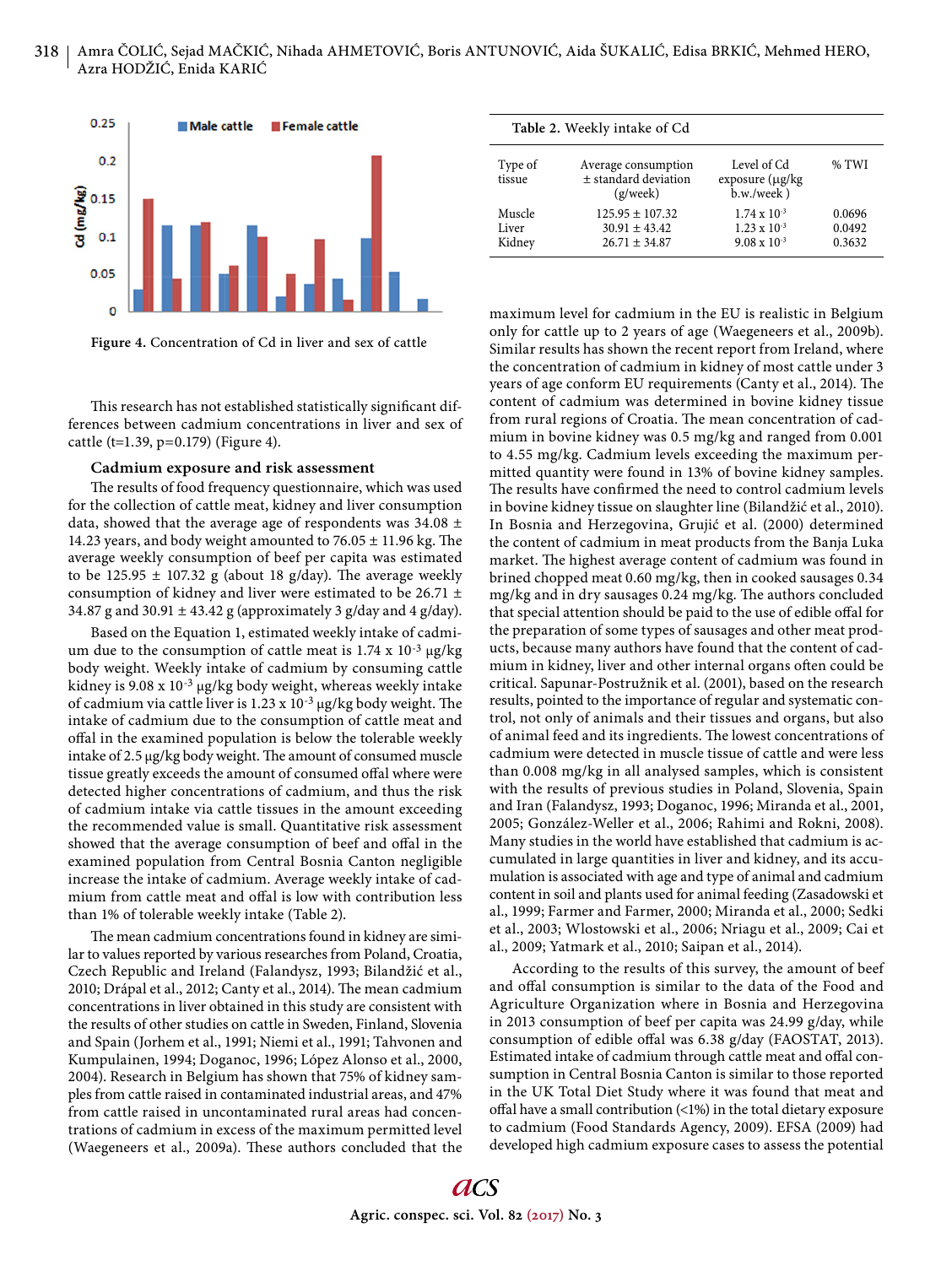



This research has not established statistically significant differences between cadmium concentrations in liver and sex of cattle (t=1.39, p=0.179) (Figure 4).

#### **Cadmium exposure and risk assessment**

The results of food frequency questionnaire, which was used for the collection of cattle meat, kidney and liver consumption data, showed that the average age of respondents was 34.08  $\pm$ 14.23 years, and body weight amounted to  $76.05 \pm 11.96$  kg. The average weekly consumption of beef per capita was estimated to be 125.95  $\pm$  107.32 g (about 18 g/day). The average weekly consumption of kidney and liver were estimated to be 26.71  $\pm$ 34.87 g and 30.91  $\pm$  43.42 g (approximately 3 g/day and 4 g/day).

Based on the Equation 1, estimated weekly intake of cadmium due to the consumption of cattle meat is 1.74 x 10-3 μg/kg body weight. Weekly intake of cadmium by consuming cattle kidney is 9.08 x 10-3 μg/kg body weight, whereas weekly intake of cadmium via cattle liver is  $1.23 \times 10^{-3}$  µg/kg body weight. The intake of cadmium due to the consumption of cattle meat and offal in the examined population is below the tolerable weekly intake of 2.5 μg/kg body weight. The amount of consumed muscle tissue greatly exceeds the amount of consumed offal where were detected higher concentrations of cadmium, and thus the risk of cadmium intake via cattle tissues in the amount exceeding the recommended value is small. Quantitative risk assessment showed that the average consumption of beef and offal in the examined population from Central Bosnia Canton negligible increase the intake of cadmium. Average weekly intake of cadmium from cattle meat and offal is low with contribution less than 1% of tolerable weekly intake (Table 2).

The mean cadmium concentrations found in kidney are similar to values reported by various researches from Poland, Croatia, Czech Republic and Ireland (Falandysz, 1993; Bilandžić et al., 2010; Drápal et al., 2012; Canty et al., 2014). The mean cadmium concentrations in liver obtained in this study are consistent with the results of other studies on cattle in Sweden, Finland, Slovenia and Spain (Jorhem et al., 1991; Niemi et al., 1991; Tahvonen and Kumpulainen, 1994; Doganoc, 1996; López Alonso et al., 2000, 2004). Research in Belgium has shown that 75% of kidney samples from cattle raised in contaminated industrial areas, and 47% from cattle raised in uncontaminated rural areas had concentrations of cadmium in excess of the maximum permitted level (Waegeneers et al., 2009a). These authors concluded that the

|                           | Table 2. Weekly intake of Cd                                  |                                                                         |                            |
|---------------------------|---------------------------------------------------------------|-------------------------------------------------------------------------|----------------------------|
| Type of<br>tissue         | Average consumption<br>$±$ standard deviation<br>(g/week)     | Level of Cd<br>exposure $(\mu g/kg)$<br>$b.w./week$ )                   | % TWI                      |
| Muscle<br>Liver<br>Kidney | $125.95 \pm 107.32$<br>$30.91 \pm 43.42$<br>$26.71 \pm 34.87$ | $1.74 \times 10^{-3}$<br>$1.23 \times 10^{-3}$<br>$9.08 \times 10^{-3}$ | 0.0696<br>0.0492<br>0.3632 |

maximum level for cadmium in the EU is realistic in Belgium only for cattle up to 2 years of age (Waegeneers et al., 2009b). Similar results has shown the recent report from Ireland, where the concentration of cadmium in kidney of most cattle under 3 years of age conform EU requirements (Canty et al., 2014). The content of cadmium was determined in bovine kidney tissue from rural regions of Croatia. The mean concentration of cadmium in bovine kidney was 0.5 mg/kg and ranged from 0.001 to 4.55 mg/kg. Cadmium levels exceeding the maximum permitted quantity were found in 13% of bovine kidney samples. The results have confirmed the need to control cadmium levels in bovine kidney tissue on slaughter line (Bilandžić et al., 2010). In Bosnia and Herzegovina, Grujić et al. (2000) determined the content of cadmium in meat products from the Banja Luka market. The highest average content of cadmium was found in brined chopped meat 0.60 mg/kg, then in cooked sausages 0.34 mg/kg and in dry sausages 0.24 mg/kg. The authors concluded that special attention should be paid to the use of edible offal for the preparation of some types of sausages and other meat products, because many authors have found that the content of cadmium in kidney, liver and other internal organs often could be critical. Sapunar-Postružnik et al. (2001), based on the research results, pointed to the importance of regular and systematic control, not only of animals and their tissues and organs, but also of animal feed and its ingredients. The lowest concentrations of cadmium were detected in muscle tissue of cattle and were less than 0.008 mg/kg in all analysed samples, which is consistent with the results of previous studies in Poland, Slovenia, Spain and Iran (Falandysz, 1993; Doganoc, 1996; Miranda et al., 2001, 2005; González-Weller et al., 2006; Rahimi and Rokni, 2008). Many studies in the world have established that cadmium is accumulated in large quantities in liver and kidney, and its accumulation is associated with age and type of animal and cadmium content in soil and plants used for animal feeding (Zasadowski et al., 1999; Farmer and Farmer, 2000; Miranda et al., 2000; Sedki et al., 2003; Wlostowski et al., 2006; Nriagu et al., 2009; Cai et al., 2009; Yatmark et al., 2010; Saipan et al., 2014).

According to the results of this survey, the amount of beef and offal consumption is similar to the data of the Food and Agriculture Organization where in Bosnia and Herzegovina in 2013 consumption of beef per capita was 24.99 g/day, while consumption of edible offal was 6.38 g/day (FAOSTAT, 2013). Estimated intake of cadmium through cattle meat and offal consumption in Central Bosnia Canton is similar to those reported in the UK Total Diet Study where it was found that meat and offal have a small contribution  $\left($ <1%) in the total dietary exposure to cadmium (Food Standards Agency, 2009). EFSA (2009) had developed high cadmium exposure cases to assess the potential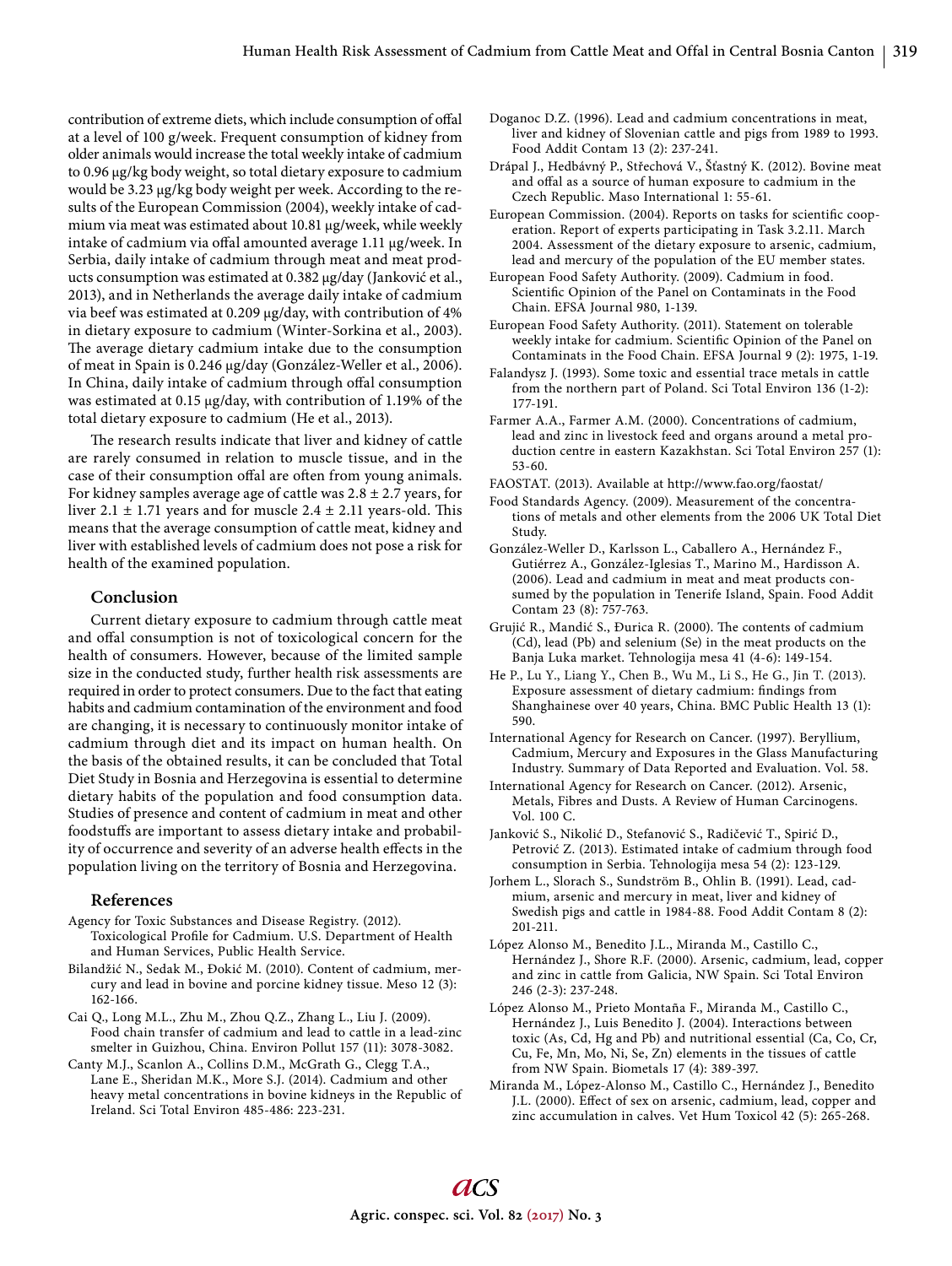contribution of extreme diets, which include consumption of offal at a level of 100 g/week. Frequent consumption of kidney from older animals would increase the total weekly intake of cadmium to 0.96 μg/kg body weight, so total dietary exposure to cadmium would be 3.23 μg/kg body weight per week. According to the results of the European Commission (2004), weekly intake of cadmium via meat was estimated about 10.81 μg/week, while weekly intake of cadmium via offal amounted average 1.11 μg/week. In Serbia, daily intake of cadmium through meat and meat products consumption was estimated at 0.382 μg/day (Janković et al., 2013), and in Netherlands the average daily intake of cadmium via beef was estimated at 0.209 μg/day, with contribution of 4% in dietary exposure to cadmium (Winter-Sorkina et al., 2003). The average dietary cadmium intake due to the consumption of meat in Spain is 0.246 μg/day (González-Weller et al., 2006). In China, daily intake of cadmium through off al consumption was estimated at 0.15 μg/day, with contribution of 1.19% of the total dietary exposure to cadmium (He et al., 2013).

The research results indicate that liver and kidney of cattle are rarely consumed in relation to muscle tissue, and in the case of their consumption offal are often from young animals. For kidney samples average age of cattle was  $2.8 \pm 2.7$  years, for liver  $2.1 \pm 1.71$  years and for muscle  $2.4 \pm 2.11$  years-old. This means that the average consumption of cattle meat, kidney and liver with established levels of cadmium does not pose a risk for health of the examined population.

# **Conclusion**

Current dietary exposure to cadmium through cattle meat and offal consumption is not of toxicological concern for the health of consumers. However, because of the limited sample size in the conducted study, further health risk assessments are required in order to protect consumers. Due to the fact that eating habits and cadmium contamination of the environment and food are changing, it is necessary to continuously monitor intake of cadmium through diet and its impact on human health. On the basis of the obtained results, it can be concluded that Total Diet Study in Bosnia and Herzegovina is essential to determine dietary habits of the population and food consumption data. Studies of presence and content of cadmium in meat and other foodstuffs are important to assess dietary intake and probability of occurrence and severity of an adverse health effects in the population living on the territory of Bosnia and Herzegovina.

#### **References**

- Agency for Toxic Substances and Disease Registry. (2012). Toxicological Profile for Cadmium. U.S. Department of Health and Human Services, Public Health Service.
- Bilandžić N., Sedak M., Đokić M. (2010). Content of cadmium, mercury and lead in bovine and porcine kidney tissue. Meso 12 (3): 162-166.
- Cai Q., Long M.L., Zhu M., Zhou Q.Z., Zhang L., Liu J. (2009). Food chain transfer of cadmium and lead to cattle in a lead-zinc smelter in Guizhou, China. Environ Pollut 157 (11): 3078-3082.
- Canty M.J., Scanlon A., Collins D.M., McGrath G., Clegg T.A., Lane E., Sheridan M.K., More S.J. (2014). Cadmium and other heavy metal concentrations in bovine kidneys in the Republic of Ireland. Sci Total Environ 485-486: 223-231.
- Doganoc D.Z. (1996). Lead and cadmium concentrations in meat, liver and kidney of Slovenian cattle and pigs from 1989 to 1993. Food Addit Contam 13 (2): 237-241.
- Drápal J., Hedbávný P., Střechová V., Šťastný K. (2012). Bovine meat and offal as a source of human exposure to cadmium in the Czech Republic. Maso International 1: 55-61.
- European Commission. (2004). Reports on tasks for scientific cooperation. Report of experts participating in Task 3.2.11. March 2004. Assessment of the dietary exposure to arsenic, cadmium, lead and mercury of the population of the EU member states.
- European Food Safety Authority. (2009). Cadmium in food. Scientific Opinion of the Panel on Contaminats in the Food Chain. EFSA Journal 980, 1-139.
- European Food Safety Authority. (2011). Statement on tolerable weekly intake for cadmium. Scientific Opinion of the Panel on Contaminats in the Food Chain. EFSA Journal 9 (2): 1975, 1-19.
- Falandysz J. (1993). Some toxic and essential trace metals in cattle from the northern part of Poland. Sci Total Environ 136 (1-2): 177-191.
- Farmer A.A., Farmer A.M. (2000). Concentrations of cadmium, lead and zinc in livestock feed and organs around a metal production centre in eastern Kazakhstan. Sci Total Environ 257 (1): 53-60.
- FAOSTAT. (2013). Available at http://www.fao.org/faostat/
- Food Standards Agency. (2009). Measurement of the concentrations of metals and other elements from the 2006 UK Total Diet Study.
- González-Weller D., Karlsson L., Caballero A., Hernández F., Gutiérrez A., González-Iglesias T., Marino M., Hardisson A. (2006). Lead and cadmium in meat and meat products consumed by the population in Tenerife Island, Spain. Food Addit Contam 23 (8): 757-763.
- Grujić R., Mandić S., Đurica R. (2000). The contents of cadmium (Cd), lead (Pb) and selenium (Se) in the meat products on the Banja Luka market. Tehnologija mesa 41 (4-6): 149-154.
- He P., Lu Y., Liang Y., Chen B., Wu M., Li S., He G., Jin T. (2013). Exposure assessment of dietary cadmium: findings from Shanghainese over 40 years, China. BMC Public Health 13 (1): 590.
- International Agency for Research on Cancer. (1997). Beryllium, Cadmium, Mercury and Exposures in the Glass Manufacturing Industry. Summary of Data Reported and Evaluation. Vol. 58.
- International Agency for Research on Cancer. (2012). Arsenic, Metals, Fibres and Dusts. A Review of Human Carcinogens. Vol. 100 C.
- Janković S., Nikolić D., Stefanović S., Radičević T., Spirić D., Petrović Z. (2013). Estimated intake of cadmium through food consumption in Serbia. Tehnologija mesa 54 (2): 123-129.
- Jorhem L., Slorach S., Sundström B., Ohlin B. (1991). Lead, cadmium, arsenic and mercury in meat, liver and kidney of Swedish pigs and cattle in 1984-88. Food Addit Contam 8 (2): 201-211.
- López Alonso M., Benedito J.L., Miranda M., Castillo C., Hernández J., Shore R.F. (2000). Arsenic, cadmium, lead, copper and zinc in cattle from Galicia, NW Spain. Sci Total Environ 246 (2-3): 237-248.
- López Alonso M., Prieto Montaña F., Miranda M., Castillo C., Hernández J., Luis Benedito J. (2004). Interactions between toxic (As, Cd, Hg and Pb) and nutritional essential (Ca, Co, Cr, Cu, Fe, Mn, Mo, Ni, Se, Zn) elements in the tissues of cattle from NW Spain. Biometals 17 (4): 389-397.
- Miranda M., López-Alonso M., Castillo C., Hernández J., Benedito J.L. (2000). Effect of sex on arsenic, cadmium, lead, copper and zinc accumulation in calves. Vet Hum Toxicol 42 (5): 265-268.